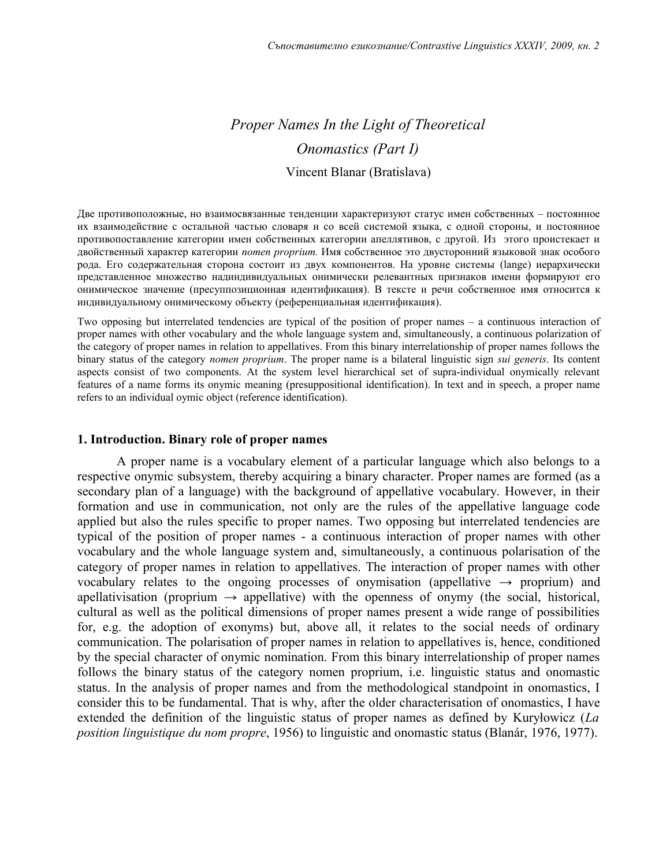# *Proper Names In the Light of Theoretical Onomastics (Part І)* Vincent Blanar (Bratislava)

Две противоположные, но взаимосвязанные тенденции характеризуют статус имен собственных – постоянное их взаимодействие с остальной частью словаря и со всей системой языка, с одной стороны, и постоянное противопоставление категории имен собственных категории апеллятивов, с другой. Из этого проистекает и двойственный характер категории *nomen proprium.* Имя собственное это двусторонний языковой знак особого рода. Его содержательная сторона состоит из двух компонентов. На уровне системы (lange) иерархически представленное множество надиндивидуальных онимически релевантных признаков имени формируют его онимическое значение (пресуппозиционная идентификация). В тексте и речи собственное имя относится к индивидуальному онимическому объекту (референциальная идентификация).

Two opposing but interrelated tendencies are typical of the position of proper names – a continuous interaction of proper names with other vocabulary and the whole language system and, simultaneously, a continuous polarization of the category of proper names in relation to appellatives. From this binary interrelationship of proper names follows the binary status of the category *nomen proprium*. The proper name is a bilateral linguistic sign *sui generis*. Its content aspects consist of two components. At the system level hierarchical set of supra-individual onymically relevant features of a name forms its onymic meaning (presuppositional identification). In text and in speech, a proper name refers to an individual oymic object (reference identification).

#### **1. Introduction. Binary role of proper names**

A proper name is a vocabulary element of a particular language which also belongs to a respective onymic subsystem, thereby acquiring a binary character. Proper names are formed (as a secondary plan of a language) with the background of appellative vocabulary. However, in their formation and use in communication, not only are the rules of the appellative language code applied but also the rules specific to proper names. Two opposing but interrelated tendencies are typical of the position of proper names - a continuous interaction of proper names with other vocabulary and the whole language system and, simultaneously, a continuous polarisation of the category of proper names in relation to appellatives. The interaction of proper names with other vocabulary relates to the ongoing processes of onymisation (appellative  $\rightarrow$  proprium) and apellativisation (proprium  $\rightarrow$  appellative) with the openness of onymy (the social, historical, cultural as well as the political dimensions of proper names present a wide range of possibilities for, e.g. the adoption of exonyms) but, above all, it relates to the social needs of ordinary communication. The polarisation of proper names in relation to appellatives is, hence, conditioned by the special character of onymic nomination. From this binary interrelationship of proper names follows the binary status of the category nomen proprium, i.e. linguistic status and onomastic status. In the analysis of proper names and from the methodological standpoint in onomastics, I consider this to be fundamental. That is why, after the older characterisation of onomastics, I have extended the definition of the linguistic status of proper names as defined by Kuryłowicz (*La position linguistique du nom propre*, 1956) to linguistic and onomastic status (Blanár, 1976, 1977).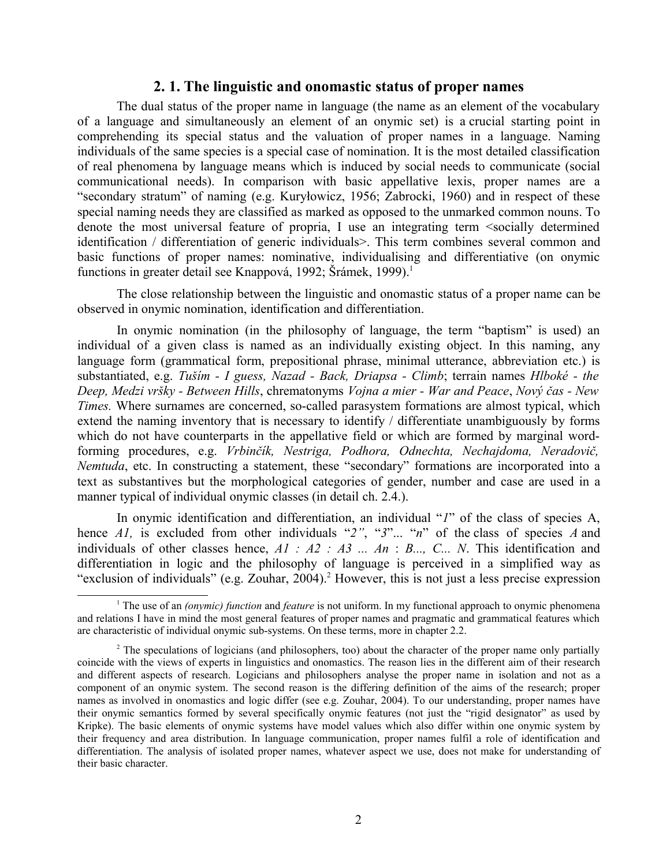# **2. 1. The linguistic and onomastic status of proper names**

The dual status of the proper name in language (the name as an element of the vocabulary of a language and simultaneously an element of an onymic set) is a crucial starting point in comprehending its special status and the valuation of proper names in a language. Naming individuals of the same species is a special case of nomination. It is the most detailed classification of real phenomena by language means which is induced by social needs to communicate (social communicational needs). In comparison with basic appellative lexis, proper names are a "secondary stratum" of naming (e.g. Kuryłowicz, 1956; Zabrocki, 1960) and in respect of these special naming needs they are classified as marked as opposed to the unmarked common nouns. To denote the most universal feature of propria, I use an integrating term <socially determined identification / differentiation of generic individuals>. This term combines several common and basic functions of proper names: nominative, individualising and differentiative (on onymic functions in greater detail see Knappová, [1](#page-1-0)992; Šrámek, 1999).<sup>1</sup>

The close relationship between the linguistic and onomastic status of a proper name can be observed in onymic nomination, identification and differentiation.

In onymic nomination (in the philosophy of language, the term "baptism" is used) an individual of a given class is named as an individually existing object. In this naming, any language form (grammatical form, prepositional phrase, minimal utterance, abbreviation etc.) is substantiated, e.g. *Tuším - I guess, Nazad - Back, Driapsa - Climb*; terrain names *Hlboké - the Deep, Medzi vršky - Between Hills*, chrematonyms *Vojna a mier - War and Peace*, *Nový čas - New Times.* Where surnames are concerned, so-called parasystem formations are almost typical, which extend the naming inventory that is necessary to identify / differentiate unambiguously by forms which do not have counterparts in the appellative field or which are formed by marginal wordforming procedures, e.g. *Vrbinčík, Nestriga, Podhora, Odnechta, Nechajdoma, Neradovič, Nemtuda*, etc. In constructing a statement, these "secondary" formations are incorporated into a text as substantives but the morphological categories of gender, number and case are used in a manner typical of individual onymic classes (in detail ch. 2.4.).

In onymic identification and differentiation, an individual "*1*" of the class of species A, hence *A1,* is excluded from other individuals "*2"*, "*3*"... "*n*" of the class of species *A* and individuals of other classes hence, *A1 : A2 : A3 ... An* : *B..., C... N*. This identification and differentiation in logic and the philosophy of language is perceived in a simplified way as "exclusion of individuals" (e.g. Zouhar, [2](#page-1-1)004).<sup>2</sup> However, this is not just a less precise expression

<span id="page-1-0"></span><sup>1</sup> The use of an *(onymic) function* and *feature* is not uniform. In my functional approach to onymic phenomena and relations I have in mind the most general features of proper names and pragmatic and grammatical features which are characteristic of individual onymic sub-systems. On these terms, more in chapter 2.2.

<span id="page-1-1"></span><sup>&</sup>lt;sup>2</sup> The speculations of logicians (and philosophers, too) about the character of the proper name only partially coincide with the views of experts in linguistics and onomastics. The reason lies in the different aim of their research and different aspects of research. Logicians and philosophers analyse the proper name in isolation and not as a component of an onymic system. The second reason is the differing definition of the aims of the research; proper names as involved in onomastics and logic differ (see e.g. Zouhar, 2004). To our understanding, proper names have their onymic semantics formed by several specifically onymic features (not just the "rigid designator" as used by Kripke). The basic elements of onymic systems have model values which also differ within one onymic system by their frequency and area distribution. In language communication, proper names fulfil a role of identification and differentiation. The analysis of isolated proper names, whatever aspect we use, does not make for understanding of their basic character.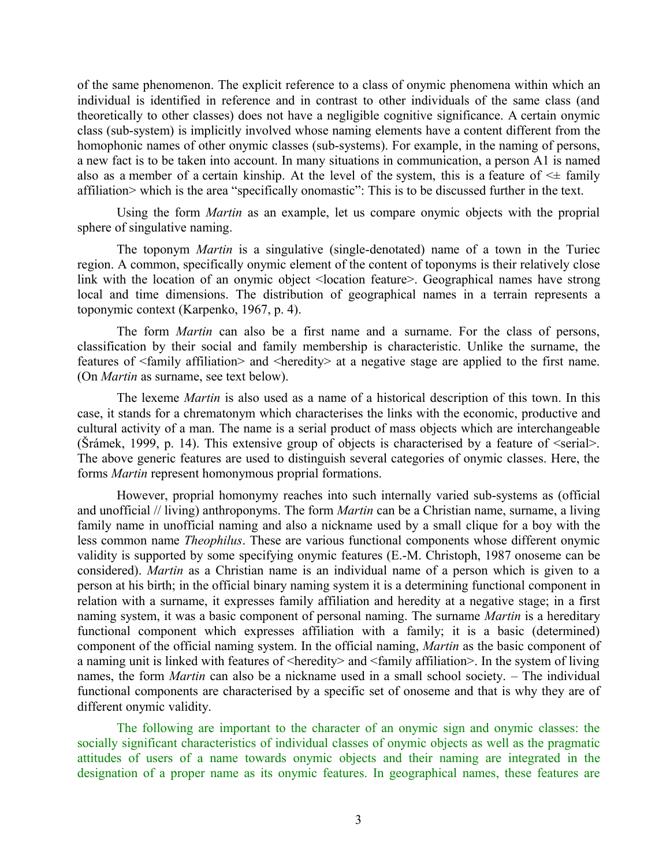of the same phenomenon. The explicit reference to a class of onymic phenomena within which an individual is identified in reference and in contrast to other individuals of the same class (and theoretically to other classes) does not have a negligible cognitive significance. A certain onymic class (sub-system) is implicitly involved whose naming elements have a content different from the homophonic names of other onymic classes (sub-systems). For example, in the naming of persons, a new fact is to be taken into account. In many situations in communication, a person A1 is named also as a member of a certain kinship. At the level of the system, this is a feature of  $\leq \pm$  family affiliation> which is the area "specifically onomastic": This is to be discussed further in the text.

Using the form *Martin* as an example, let us compare onymic objects with the proprial sphere of singulative naming.

The toponym *Martin* is a singulative (single-denotated) name of a town in the Turiec region. A common, specifically onymic element of the content of toponyms is their relatively close link with the location of an onymic object <location feature>. Geographical names have strong local and time dimensions. The distribution of geographical names in a terrain represents a toponymic context (Karpenko, 1967, p. 4).

The form *Martin* can also be a first name and a surname. For the class of persons, classification by their social and family membership is characteristic. Unlike the surname, the features of <family affiliation> and <heredity> at a negative stage are applied to the first name. (On *Martin* as surname, see text below).

The lexeme *Martin* is also used as a name of a historical description of this town. In this case, it stands for a chrematonym which characterises the links with the economic, productive and cultural activity of a man. The name is a serial product of mass objects which are interchangeable  $(\text{Šrámek}, 1999, p. 14)$ . This extensive group of objects is characterised by a feature of  $\le$ serial $>$ . The above generic features are used to distinguish several categories of onymic classes. Here, the forms *Martin* represent homonymous proprial formations.

However, proprial homonymy reaches into such internally varied sub-systems as (official and unofficial // living) anthroponyms. The form *Martin* can be a Christian name, surname, a living family name in unofficial naming and also a nickname used by a small clique for a boy with the less common name *Theophilus*. These are various functional components whose different onymic validity is supported by some specifying onymic features (E.-M. Christoph, 1987 onoseme can be considered). *Martin* as a Christian name is an individual name of a person which is given to a person at his birth; in the official binary naming system it is a determining functional component in relation with a surname, it expresses family affiliation and heredity at a negative stage; in a first naming system, it was a basic component of personal naming. The surname *Martin* is a hereditary functional component which expresses affiliation with a family; it is a basic (determined) component of the official naming system. In the official naming, *Martin* as the basic component of a naming unit is linked with features of <heredity> and <family affiliation>. In the system of living names, the form *Martin* can also be a nickname used in a small school society. – The individual functional components are characterised by a specific set of onoseme and that is why they are of different onymic validity.

The following are important to the character of an onymic sign and onymic classes: the socially significant characteristics of individual classes of onymic objects as well as the pragmatic attitudes of users of a name towards onymic objects and their naming are integrated in the designation of a proper name as its onymic features. In geographical names, these features are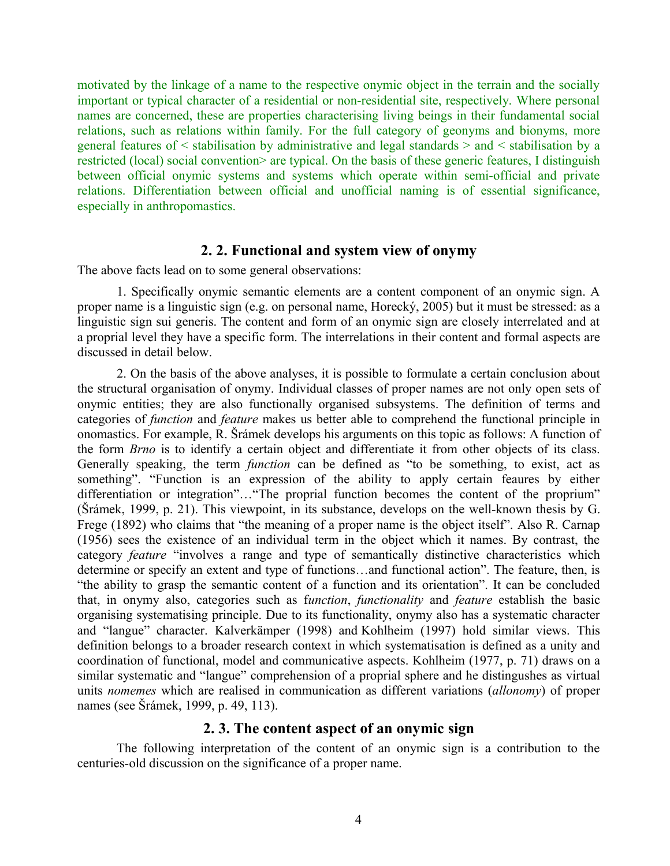motivated by the linkage of a name to the respective onymic object in the terrain and the socially important or typical character of a residential or non-residential site, respectively. Where personal names are concerned, these are properties characterising living beings in their fundamental social relations, such as relations within family. For the full category of geonyms and bionyms, more general features of < stabilisation by administrative and legal standards > and < stabilisation by a restricted (local) social convention> are typical. On the basis of these generic features, I distinguish between official onymic systems and systems which operate within semi-official and private relations. Differentiation between official and unofficial naming is of essential significance, especially in anthropomastics.

#### **2. 2. Functional and system view of onymy**

The above facts lead on to some general observations:

1. Specifically onymic semantic elements are a content component of an onymic sign. A proper name is a linguistic sign (e.g. on personal name, Horecký, 2005) but it must be stressed: as a linguistic sign sui generis. The content and form of an onymic sign are closely interrelated and at a proprial level they have a specific form. The interrelations in their content and formal aspects are discussed in detail below.

2. On the basis of the above analyses, it is possible to formulate a certain conclusion about the structural organisation of onymy. Individual classes of proper names are not only open sets of onymic entities; they are also functionally organised subsystems. The definition of terms and categories of *function* and *feature* makes us better able to comprehend the functional principle in onomastics. For example, R. Šrámek develops his arguments on this topic as follows: A function of the form *Brno* is to identify a certain object and differentiate it from other objects of its class. Generally speaking, the term *function* can be defined as "to be something, to exist, act as something". "Function is an expression of the ability to apply certain feaures by either differentiation or integration"…"The proprial function becomes the content of the proprium" (Šrámek, 1999, p. 21). This viewpoint, in its substance, develops on the well-known thesis by G. Frege (1892) who claims that "the meaning of a proper name is the object itself". Also R. Carnap (1956) sees the existence of an individual term in the object which it names. By contrast, the category *feature* "involves a range and type of semantically distinctive characteristics which determine or specify an extent and type of functions…and functional action". The feature, then, is "the ability to grasp the semantic content of a function and its orientation". It can be concluded that, in onymy also, categories such as f*unction*, *functionality* and *feature* establish the basic organising systematising principle. Due to its functionality, onymy also has a systematic character and "langue" character. Kalverkämper (1998) and Kohlheim (1997) hold similar views. This definition belongs to a broader research context in which systematisation is defined as a unity and coordination of functional, model and communicative aspects. Kohlheim (1977, p. 71) draws on a similar systematic and "langue" comprehension of a proprial sphere and he distingushes as virtual units *nomemes* which are realised in communication as different variations (*allonomy*) of proper names (see Šrámek, 1999, p. 49, 113).

# **2. 3. The content aspect of an onymic sign**

The following interpretation of the content of an onymic sign is a contribution to the centuries-old discussion on the significance of a proper name.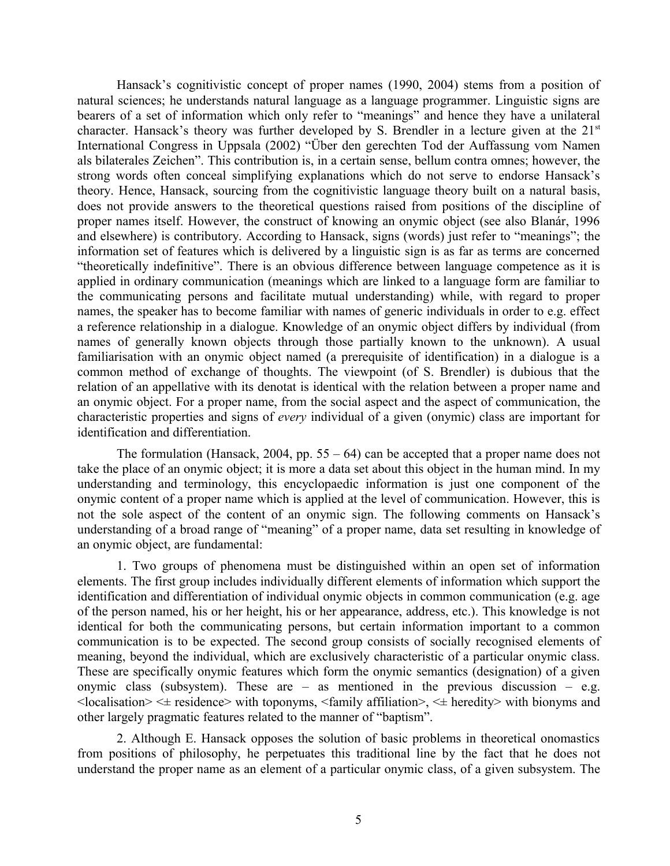Hansack's cognitivistic concept of proper names (1990, 2004) stems from a position of natural sciences; he understands natural language as a language programmer. Linguistic signs are bearers of a set of information which only refer to "meanings" and hence they have a unilateral character. Hansack's theory was further developed by S. Brendler in a lecture given at the  $21<sup>st</sup>$ International Congress in Uppsala (2002) "Über den gerechten Tod der Auffassung vom Namen als bilaterales Zeichen". This contribution is, in a certain sense, bellum contra omnes; however, the strong words often conceal simplifying explanations which do not serve to endorse Hansack's theory. Hence, Hansack, sourcing from the cognitivistic language theory built on a natural basis, does not provide answers to the theoretical questions raised from positions of the discipline of proper names itself. However, the construct of knowing an onymic object (see also Blanár, 1996 and elsewhere) is contributory. According to Hansack, signs (words) just refer to "meanings"; the information set of features which is delivered by a linguistic sign is as far as terms are concerned "theoretically indefinitive". There is an obvious difference between language competence as it is applied in ordinary communication (meanings which are linked to a language form are familiar to the communicating persons and facilitate mutual understanding) while, with regard to proper names, the speaker has to become familiar with names of generic individuals in order to e.g. effect a reference relationship in a dialogue. Knowledge of an onymic object differs by individual (from names of generally known objects through those partially known to the unknown). A usual familiarisation with an onymic object named (a prerequisite of identification) in a dialogue is a common method of exchange of thoughts. The viewpoint (of S. Brendler) is dubious that the relation of an appellative with its denotat is identical with the relation between a proper name and an onymic object. For a proper name, from the social aspect and the aspect of communication, the characteristic properties and signs of *every* individual of a given (onymic) class are important for identification and differentiation.

The formulation (Hansack, 2004, pp.  $55 - 64$ ) can be accepted that a proper name does not take the place of an onymic object; it is more a data set about this object in the human mind. In my understanding and terminology, this encyclopaedic information is just one component of the onymic content of a proper name which is applied at the level of communication. However, this is not the sole aspect of the content of an onymic sign. The following comments on Hansack's understanding of a broad range of "meaning" of a proper name, data set resulting in knowledge of an onymic object, are fundamental:

1. Two groups of phenomena must be distinguished within an open set of information elements. The first group includes individually different elements of information which support the identification and differentiation of individual onymic objects in common communication (e.g. age of the person named, his or her height, his or her appearance, address, etc.). This knowledge is not identical for both the communicating persons, but certain information important to a common communication is to be expected. The second group consists of socially recognised elements of meaning, beyond the individual, which are exclusively characteristic of a particular onymic class. These are specifically onymic features which form the onymic semantics (designation) of a given onymic class (subsystem). These are  $-$  as mentioned in the previous discussion  $-$  e.g.  $\leq$ localisation $\geq \leq \pm$  residence $\geq$  with toponyms,  $\leq$  family affiliation $\geq$ ,  $\leq \pm$  heredity $\geq$  with bionyms and other largely pragmatic features related to the manner of "baptism".

2. Although E. Hansack opposes the solution of basic problems in theoretical onomastics from positions of philosophy, he perpetuates this traditional line by the fact that he does not understand the proper name as an element of a particular onymic class, of a given subsystem. The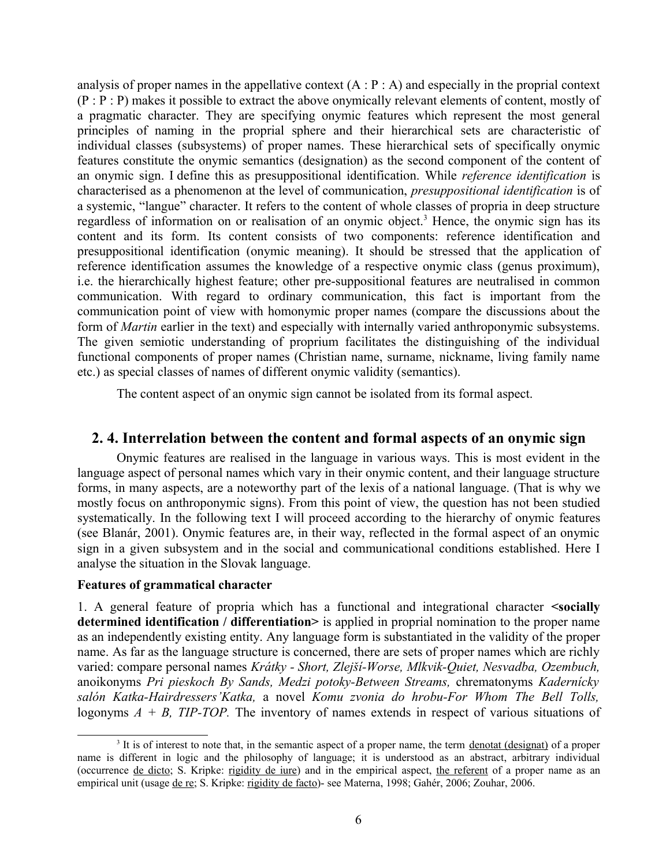analysis of proper names in the appellative context  $(A : P : A)$  and especially in the proprial context  $(P : P : P)$  makes it possible to extract the above onymically relevant elements of content, mostly of a pragmatic character. They are specifying onymic features which represent the most general principles of naming in the proprial sphere and their hierarchical sets are characteristic of individual classes (subsystems) of proper names. These hierarchical sets of specifically onymic features constitute the onymic semantics (designation) as the second component of the content of an onymic sign. I define this as presuppositional identification. While *reference identification* is characterised as a phenomenon at the level of communication, *presuppositional identification* is of a systemic, "langue" character. It refers to the content of whole classes of propria in deep structure regardless of information on or realisation of an onymic object.<sup>[3](#page-5-0)</sup> Hence, the onymic sign has its content and its form. Its content consists of two components: reference identification and presuppositional identification (onymic meaning). It should be stressed that the application of reference identification assumes the knowledge of a respective onymic class (genus proximum), i.e. the hierarchically highest feature; other pre-suppositional features are neutralised in common communication. With regard to ordinary communication, this fact is important from the communication point of view with homonymic proper names (compare the discussions about the form of *Martin* earlier in the text) and especially with internally varied anthroponymic subsystems. The given semiotic understanding of proprium facilitates the distinguishing of the individual functional components of proper names (Christian name, surname, nickname, living family name etc.) as special classes of names of different onymic validity (semantics).

The content aspect of an onymic sign cannot be isolated from its formal aspect.

# **2. 4. Interrelation between the content and formal aspects of an onymic sign**

Onymic features are realised in the language in various ways. This is most evident in the language aspect of personal names which vary in their onymic content, and their language structure forms, in many aspects, are a noteworthy part of the lexis of a national language. (That is why we mostly focus on anthroponymic signs). From this point of view, the question has not been studied systematically. In the following text I will proceed according to the hierarchy of onymic features (see Blanár, 2001). Onymic features are, in their way, reflected in the formal aspect of an onymic sign in a given subsystem and in the social and communicational conditions established. Here I analyse the situation in the Slovak language.

#### **Features of grammatical character**

1. A general feature of propria which has a functional and integrational character **<socially determined identification / differentiation>** is applied in proprial nomination to the proper name as an independently existing entity. Any language form is substantiated in the validity of the proper name. As far as the language structure is concerned, there are sets of proper names which are richly varied: compare personal names *Krátky - Short, Zlejší-Worse, Mlkvik-Quiet, Nesvadba, Ozembuch,* anoikonyms *Pri pieskoch By Sands, Medzi potoky-Between Streams,* chrematonyms *Kadernícky salón Katka-Hairdressers'Katka,* a novel *Komu zvonia do hrobu-For Whom The Bell Tolls,* logonyms  $A + B$ , TIP-TOP. The inventory of names extends in respect of various situations of

<span id="page-5-0"></span><sup>&</sup>lt;sup>3</sup> It is of interest to note that, in the semantic aspect of a proper name, the term <u>denotat (designat</u>) of a proper name is different in logic and the philosophy of language; it is understood as an abstract, arbitrary individual (occurrence de dicto; S. Kripke: rigidity de iure) and in the empirical aspect, the referent of a proper name as an empirical unit (usage de re; S. Kripke: rigidity de facto)- see Materna, 1998; Gahér, 2006; Zouhar, 2006.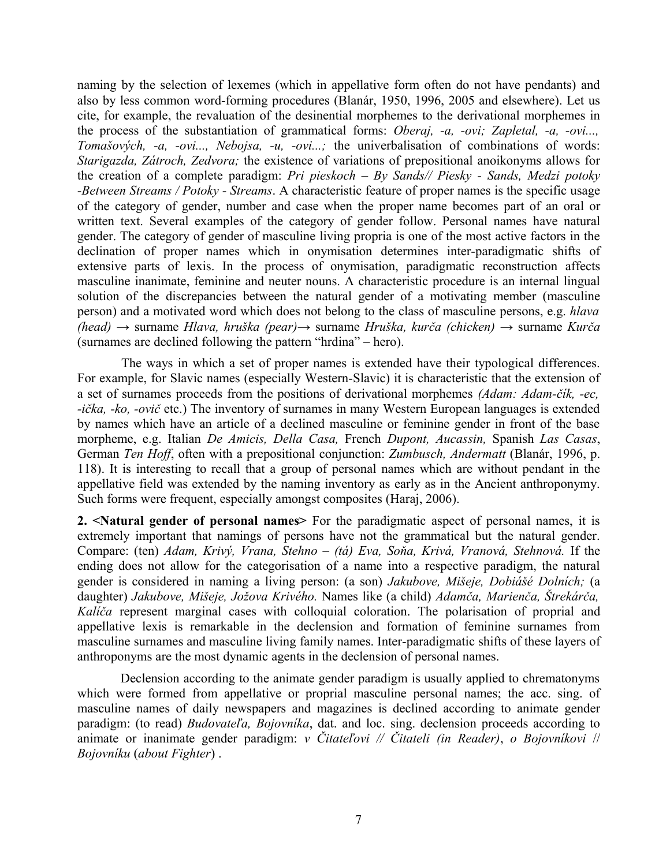naming by the selection of lexemes (which in appellative form often do not have pendants) and also by less common word-forming procedures (Blanár, 1950, 1996, 2005 and elsewhere). Let us cite, for example, the revaluation of the desinential morphemes to the derivational morphemes in the process of the substantiation of grammatical forms: *Oberaj, -a, -ovi; Zapletal, -a, -ovi..., Tomašových, -a, -ovi..., Nebojsa, -u, -ovi...;* the univerbalisation of combinations of words: *Starigazda, Zátroch, Zedvora;* the existence of variations of prepositional anoikonyms allows for the creation of a complete paradigm: *Pri pieskoch – By Sands// Piesky - Sands, Medzi potoky -Between Streams / Potoky - Streams*. A characteristic feature of proper names is the specific usage of the category of gender, number and case when the proper name becomes part of an oral or written text. Several examples of the category of gender follow. Personal names have natural gender. The category of gender of masculine living propria is one of the most active factors in the declination of proper names which in onymisation determines inter-paradigmatic shifts of extensive parts of lexis. In the process of onymisation, paradigmatic reconstruction affects masculine inanimate, feminine and neuter nouns. A characteristic procedure is an internal lingual solution of the discrepancies between the natural gender of a motivating member (masculine person) and a motivated word which does not belong to the class of masculine persons, e.g. *hlava (head) →* surname *Hlava, hruška (pear)→* surname *Hruška, kurča (chicken) →* surname *Kurča* (surnames are declined following the pattern "hrdina" – hero).

The ways in which a set of proper names is extended have their typological differences. For example, for Slavic names (especially Western-Slavic) it is characteristic that the extension of a set of surnames proceeds from the positions of derivational morphemes *(Adam: Adam-čík, -ec, -ička, -ko, -ovič* etc.) The inventory of surnames in many Western European languages is extended by names which have an article of a declined masculine or feminine gender in front of the base morpheme, e.g. Italian *De Amicis, Della Casa,* French *Dupont, Aucassin,* Spanish *Las Casas*, German *Ten Hoff*, often with a prepositional conjunction: *Zumbusch, Andermatt* (Blanár, 1996, p. 118). It is interesting to recall that a group of personal names which are without pendant in the appellative field was extended by the naming inventory as early as in the Ancient anthroponymy. Such forms were frequent, especially amongst composites (Haraj, 2006).

**2. <Natural gender of personal names>** For the paradigmatic aspect of personal names, it is extremely important that namings of persons have not the grammatical but the natural gender. Compare: (ten) *Adam, Krivý, Vrana, Stehno – (tá) Eva, Soňa, Krivá, Vranová, Stehnová.* If the ending does not allow for the categorisation of a name into a respective paradigm, the natural gender is considered in naming a living person: (a son) *Jakubove, Mišeje, Dobiášé Dolních;* (a daughter) *Jakubove, Mišeje, Jožova Krivého.* Names like (a child) *Adamča, Marienča, Štrekárča, Kalíča* represent marginal cases with colloquial coloration. The polarisation of proprial and appellative lexis is remarkable in the declension and formation of feminine surnames from masculine surnames and masculine living family names. Inter-paradigmatic shifts of these layers of anthroponyms are the most dynamic agents in the declension of personal names.

Declension according to the animate gender paradigm is usually applied to chrematonyms which were formed from appellative or proprial masculine personal names; the acc. sing. of masculine names of daily newspapers and magazines is declined according to animate gender paradigm: (to read) *Budovateľa, Bojovníka*, dat. and loc. sing. declension proceeds according to animate or inanimate gender paradigm: *v Čitateľovi // Čitateli (in Reader)*, *o Bojovníkovi* // *Bojovníku* (*about Fighter*) .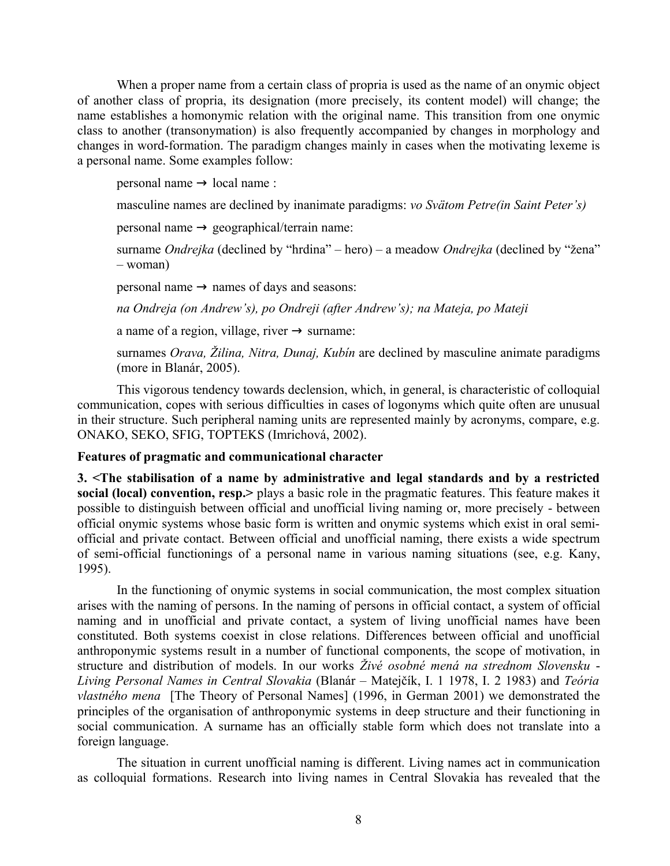When a proper name from a certain class of propria is used as the name of an onymic object of another class of propria, its designation (more precisely, its content model) will change; the name establishes a homonymic relation with the original name. This transition from one onymic class to another (transonymation) is also frequently accompanied by changes in morphology and changes in word-formation. The paradigm changes mainly in cases when the motivating lexeme is a personal name. Some examples follow:

personal name  $\rightarrow$  local name :

masculine names are declined by inanimate paradigms: *vo Svätom Petre(in Saint Peter's)*

personal name  $\rightarrow$  geographical/terrain name:

surname *Ondrejka* (declined by "hrdina" – hero) – a meadow *Ondrejka* (declined by "žena" – woman)

personal name  $\rightarrow$  names of days and seasons:

*na Ondreja (on Andrew's), po Ondreji (after Andrew's); na Mateja, po Mateji*

a name of a region, village, river  $\rightarrow$  surname:

surnames *Orava, Žilina, Nitra, Dunaj, Kubín* are declined by masculine animate paradigms (more in Blanár, 2005).

This vigorous tendency towards declension, which, in general, is characteristic of colloquial communication, copes with serious difficulties in cases of logonyms which quite often are unusual in their structure. Such peripheral naming units are represented mainly by acronyms, compare, e.g. ONAKO, SEKO, SFIG, TOPTEKS (Imrichová, 2002).

#### **Features of pragmatic and communicational character**

**3. <The stabilisation of a name by administrative and legal standards and by a restricted social (local) convention, resp.>** plays a basic role in the pragmatic features. This feature makes it possible to distinguish between official and unofficial living naming or, more precisely - between official onymic systems whose basic form is written and onymic systems which exist in oral semiofficial and private contact. Between official and unofficial naming, there exists a wide spectrum of semi-official functionings of a personal name in various naming situations (see, e.g. Kany, 1995).

In the functioning of onymic systems in social communication, the most complex situation arises with the naming of persons. In the naming of persons in official contact, a system of official naming and in unofficial and private contact, a system of living unofficial names have been constituted. Both systems coexist in close relations. Differences between official and unofficial anthroponymic systems result in a number of functional components, the scope of motivation, in structure and distribution of models. In our works *Živé osobné mená na strednom Slovensku* - *Living Personal Names in Central Slovakia* (Blanár – Matejčík, I. 1 1978, I. 2 1983) and *Teória vlastného mena* [The Theory of Personal Names] (1996, in German 2001) we demonstrated the principles of the organisation of anthroponymic systems in deep structure and their functioning in social communication. A surname has an officially stable form which does not translate into a foreign language.

The situation in current unofficial naming is different. Living names act in communication as colloquial formations. Research into living names in Central Slovakia has revealed that the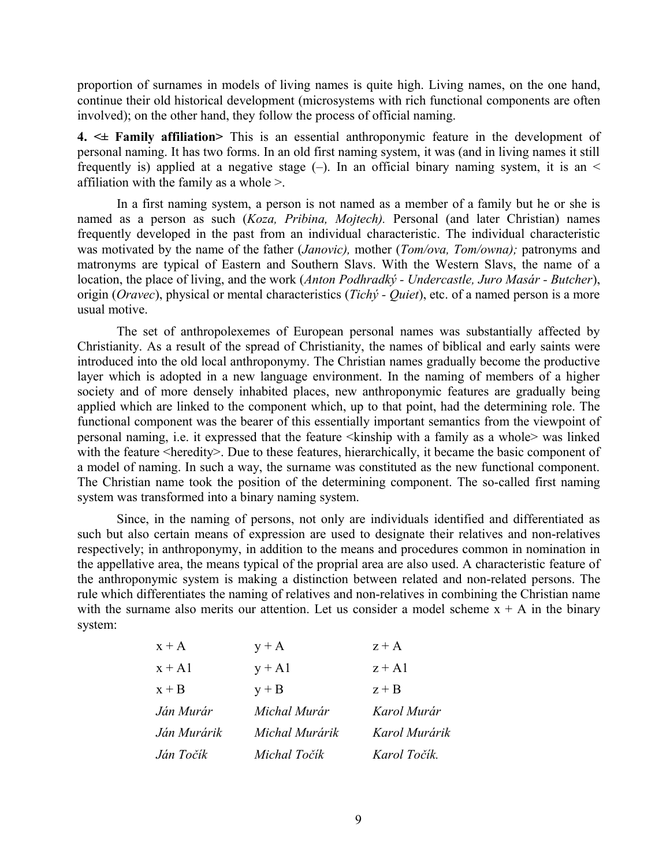proportion of surnames in models of living names is quite high. Living names, on the one hand, continue their old historical development (microsystems with rich functional components are often involved); on the other hand, they follow the process of official naming.

**4. <± Family affiliation>** This is an essential anthroponymic feature in the development of personal naming. It has two forms. In an old first naming system, it was (and in living names it still frequently is) applied at a negative stage  $(-)$ . In an official binary naming system, it is an  $\le$ affiliation with the family as a whole >.

In a first naming system, a person is not named as a member of a family but he or she is named as a person as such (*Koza, Pribina, Mojtech).* Personal (and later Christian) names frequently developed in the past from an individual characteristic. The individual characteristic was motivated by the name of the father (*Janovic),* mother (*Tom/ova, Tom/owna);* patronyms and matronyms are typical of Eastern and Southern Slavs. With the Western Slavs, the name of a location, the place of living, and the work (*Anton Podhradký - Undercastle, Juro Masár - Butcher*), origin (*Oravec*), physical or mental characteristics (*Tichý - Quiet*), etc. of a named person is a more usual motive.

The set of anthropolexemes of European personal names was substantially affected by Christianity. As a result of the spread of Christianity, the names of biblical and early saints were introduced into the old local anthroponymy. The Christian names gradually become the productive layer which is adopted in a new language environment. In the naming of members of a higher society and of more densely inhabited places, new anthroponymic features are gradually being applied which are linked to the component which, up to that point, had the determining role. The functional component was the bearer of this essentially important semantics from the viewpoint of personal naming, i.e. it expressed that the feature <kinship with a family as a whole> was linked with the feature <heredity>. Due to these features, hierarchically, it became the basic component of a model of naming. In such a way, the surname was constituted as the new functional component. The Christian name took the position of the determining component. The so-called first naming system was transformed into a binary naming system.

Since, in the naming of persons, not only are individuals identified and differentiated as such but also certain means of expression are used to designate their relatives and non-relatives respectively; in anthroponymy, in addition to the means and procedures common in nomination in the appellative area, the means typical of the proprial area are also used. A characteristic feature of the anthroponymic system is making a distinction between related and non-related persons. The rule which differentiates the naming of relatives and non-relatives in combining the Christian name with the surname also merits our attention. Let us consider a model scheme  $x + A$  in the binary system:

| $x + A$     | $y + A$        | $z + A$       |
|-------------|----------------|---------------|
| $x + A1$    | $y + A1$       | $z + A1$      |
| $x + B$     | $y + B$        | $z + B$       |
| Ján Murár   | Michal Murár   | Karol Murár   |
| Ján Murárik | Michal Murárik | Karol Murárik |
| Ján Točík   | Michal Točík   | Karol Točík.  |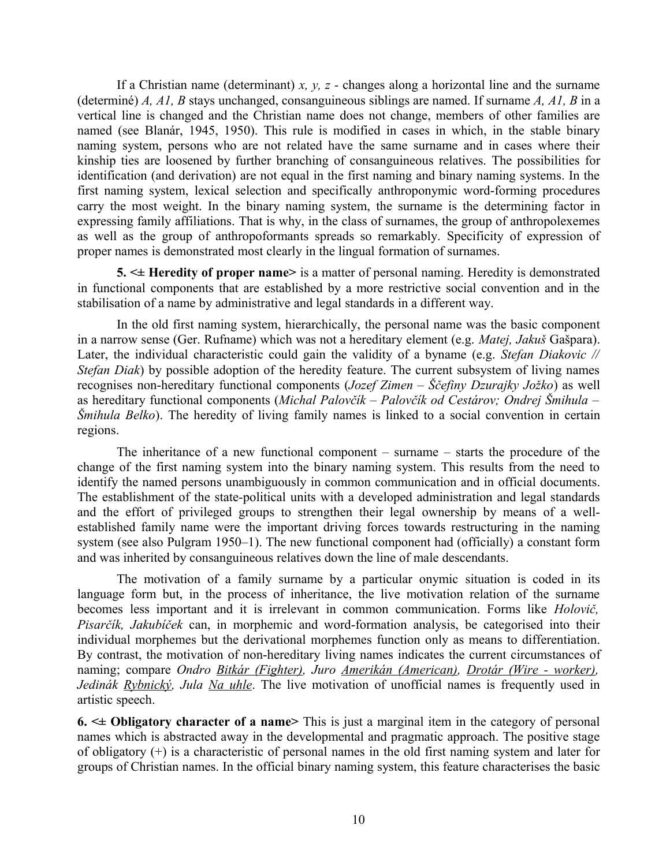If a Christian name (determinant)  $x$ ,  $y$ ,  $z$  - changes along a horizontal line and the surname (determiné) *A, A1, B* stays unchanged, consanguineous siblings are named. If surname *A, A1, B* in a vertical line is changed and the Christian name does not change, members of other families are named (see Blanár, 1945, 1950). This rule is modified in cases in which, in the stable binary naming system, persons who are not related have the same surname and in cases where their kinship ties are loosened by further branching of consanguineous relatives. The possibilities for identification (and derivation) are not equal in the first naming and binary naming systems. In the first naming system, lexical selection and specifically anthroponymic word-forming procedures carry the most weight. In the binary naming system, the surname is the determining factor in expressing family affiliations. That is why, in the class of surnames, the group of anthropolexemes as well as the group of anthropoformants spreads so remarkably. Specificity of expression of proper names is demonstrated most clearly in the lingual formation of surnames.

**5. <± Heredity of proper name>** is a matter of personal naming. Heredity is demonstrated in functional components that are established by a more restrictive social convention and in the stabilisation of a name by administrative and legal standards in a different way.

In the old first naming system, hierarchically, the personal name was the basic component in a narrow sense (Ger. Rufname) which was not a hereditary element (e.g. *Matej, Jakuš* Gašpara). Later, the individual characteristic could gain the validity of a byname (e.g. *Stefan Diakovic // Stefan Diak*) by possible adoption of the heredity feature. The current subsystem of living names recognises non-hereditary functional components (*Jozef Zimen – Ščefiny Dzurajky Jožko*) as well as hereditary functional components (*Michal Palovčík – Palovčík od Cestárov; Ondrej Šmihula – Šmihula Belko*). The heredity of living family names is linked to a social convention in certain regions.

The inheritance of a new functional component – surname – starts the procedure of the change of the first naming system into the binary naming system. This results from the need to identify the named persons unambiguously in common communication and in official documents. The establishment of the state-political units with a developed administration and legal standards and the effort of privileged groups to strengthen their legal ownership by means of a wellestablished family name were the important driving forces towards restructuring in the naming system (see also Pulgram 1950–1). The new functional component had (officially) a constant form and was inherited by consanguineous relatives down the line of male descendants.

The motivation of a family surname by a particular onymic situation is coded in its language form but, in the process of inheritance, the live motivation relation of the surname becomes less important and it is irrelevant in common communication. Forms like *Holovič, Pisarčík, Jakubíček* can, in morphemic and word-formation analysis, be categorised into their individual morphemes but the derivational morphemes function only as means to differentiation. By contrast, the motivation of non-hereditary living names indicates the current circumstances of naming; compare *Ondro Bitkár (Fighter), Juro Amerikán (American), Drotár (Wire - worker), Jedinák Rybnický, Jula Na uhle*. The live motivation of unofficial names is frequently used in artistic speech.

**6. <± Obligatory character of a name>** This is just a marginal item in the category of personal names which is abstracted away in the developmental and pragmatic approach. The positive stage of obligatory (+) is a characteristic of personal names in the old first naming system and later for groups of Christian names. In the official binary naming system, this feature characterises the basic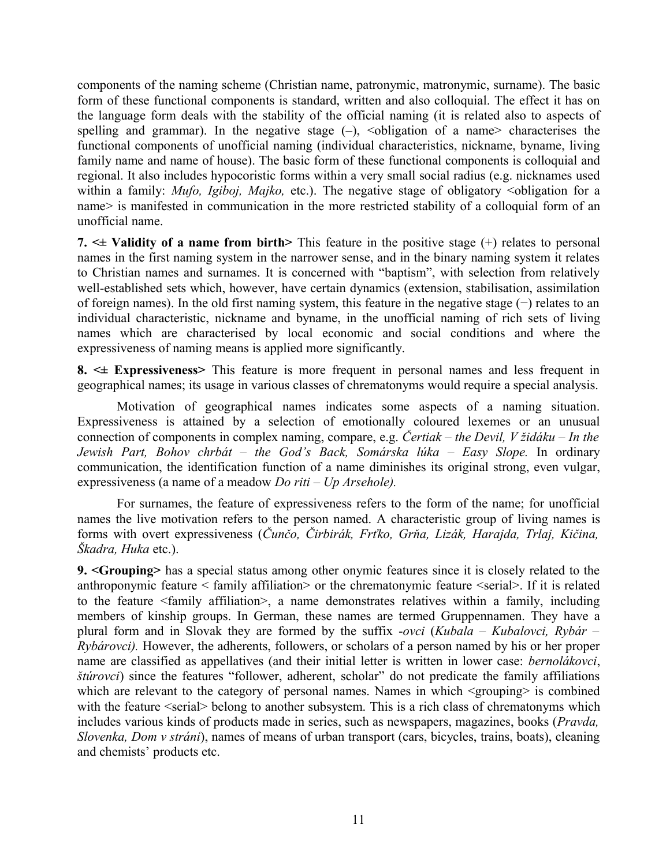components of the naming scheme (Christian name, patronymic, matronymic, surname). The basic form of these functional components is standard, written and also colloquial. The effect it has on the language form deals with the stability of the official naming (it is related also to aspects of spelling and grammar). In the negative stage  $(-)$ ,  $\leq$  obligation of a name characterises the functional components of unofficial naming (individual characteristics, nickname, byname, living family name and name of house). The basic form of these functional components is colloquial and regional. It also includes hypocoristic forms within a very small social radius (e.g. nicknames used within a family: *Mufo, Igiboj, Majko,* etc.). The negative stage of obligatory <obligation for a name> is manifested in communication in the more restricted stability of a colloquial form of an unofficial name.

**7. <± Validity of a name from birth>** This feature in the positive stage (+) relates to personal names in the first naming system in the narrower sense, and in the binary naming system it relates to Christian names and surnames. It is concerned with "baptism", with selection from relatively well-established sets which, however, have certain dynamics (extension, stabilisation, assimilation of foreign names). In the old first naming system, this feature in the negative stage (−) relates to an individual characteristic, nickname and byname, in the unofficial naming of rich sets of living names which are characterised by local economic and social conditions and where the expressiveness of naming means is applied more significantly.

**8. <± Expressiveness>** This feature is more frequent in personal names and less frequent in geographical names; its usage in various classes of chrematonyms would require a special analysis.

Motivation of geographical names indicates some aspects of a naming situation. Expressiveness is attained by a selection of emotionally coloured lexemes or an unusual connection of components in complex naming, compare, e.g. *Čertiak – the Devil, V židáku – In the Jewish Part, Bohov chrbát – the God's Back, Somárska lúka – Easy Slope.* In ordinary communication, the identification function of a name diminishes its original strong, even vulgar, expressiveness (a name of a meadow *Do riti – Up Arsehole).* 

For surnames, the feature of expressiveness refers to the form of the name; for unofficial names the live motivation refers to the person named. A characteristic group of living names is forms with overt expressiveness (*Čunčo, Čirbirák, Frťko, Grňa, Lizák, Harajda, Trlaj, Kičina, Škadra, Huka* etc.).

**9. <Grouping>** has a special status among other onymic features since it is closely related to the anthroponymic feature < family affiliation> or the chrematonymic feature <serial>. If it is related to the feature <family affiliation>, a name demonstrates relatives within a family, including members of kinship groups. In German, these names are termed Gruppennamen. They have a plural form and in Slovak they are formed by the suffix -*ovci* (*Kubala – Kubalovci, Rybár – Rybárovci).* However, the adherents, followers, or scholars of a person named by his or her proper name are classified as appellatives (and their initial letter is written in lower case: *bernolákovci*, *štúrovci*) since the features "follower, adherent, scholar" do not predicate the family affiliations which are relevant to the category of personal names. Names in which  $\leq$  grouping is combined with the feature  $\le$ serial $>$  belong to another subsystem. This is a rich class of chrematonyms which includes various kinds of products made in series, such as newspapers, magazines, books (*Pravda, Slovenka, Dom v stráni*), names of means of urban transport (cars, bicycles, trains, boats), cleaning and chemists' products etc.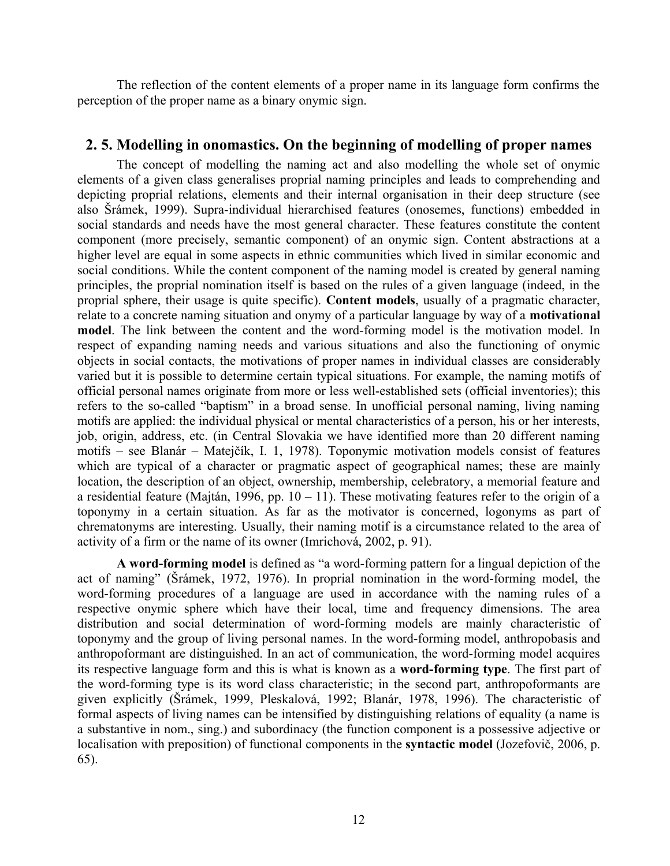The reflection of the content elements of a proper name in its language form confirms the perception of the proper name as a binary onymic sign.

### **2. 5. Modelling in onomastics. On the beginning of modelling of proper names**

The concept of modelling the naming act and also modelling the whole set of onymic elements of a given class generalises proprial naming principles and leads to comprehending and depicting proprial relations, elements and their internal organisation in their deep structure (see also Šrámek, 1999). Supra-individual hierarchised features (onosemes, functions) embedded in social standards and needs have the most general character. These features constitute the content component (more precisely, semantic component) of an onymic sign. Content abstractions at a higher level are equal in some aspects in ethnic communities which lived in similar economic and social conditions. While the content component of the naming model is created by general naming principles, the proprial nomination itself is based on the rules of a given language (indeed, in the proprial sphere, their usage is quite specific). **Content models**, usually of a pragmatic character, relate to a concrete naming situation and onymy of a particular language by way of a **motivational model**. The link between the content and the word-forming model is the motivation model. In respect of expanding naming needs and various situations and also the functioning of onymic objects in social contacts, the motivations of proper names in individual classes are considerably varied but it is possible to determine certain typical situations. For example, the naming motifs of official personal names originate from more or less well-established sets (official inventories); this refers to the so-called "baptism" in a broad sense. In unofficial personal naming, living naming motifs are applied: the individual physical or mental characteristics of a person, his or her interests, job, origin, address, etc. (in Central Slovakia we have identified more than 20 different naming motifs – see Blanár – Matejčík, I. 1, 1978). Toponymic motivation models consist of features which are typical of a character or pragmatic aspect of geographical names; these are mainly location, the description of an object, ownership, membership, celebratory, a memorial feature and a residential feature (Majtán, 1996, pp.  $10 - 11$ ). These motivating features refer to the origin of a toponymy in a certain situation. As far as the motivator is concerned, logonyms as part of chrematonyms are interesting. Usually, their naming motif is a circumstance related to the area of activity of a firm or the name of its owner (Imrichová, 2002, p. 91).

**A word-forming model** is defined as "a word-forming pattern for a lingual depiction of the act of naming" (Šrámek, 1972, 1976). In proprial nomination in the word-forming model, the word-forming procedures of a language are used in accordance with the naming rules of a respective onymic sphere which have their local, time and frequency dimensions. The area distribution and social determination of word-forming models are mainly characteristic of toponymy and the group of living personal names. In the word-forming model, anthropobasis and anthropoformant are distinguished. In an act of communication, the word-forming model acquires its respective language form and this is what is known as a **word-forming type**. The first part of the word-forming type is its word class characteristic; in the second part, anthropoformants are given explicitly (Šrámek, 1999, Pleskalová, 1992; Blanár, 1978, 1996). The characteristic of formal aspects of living names can be intensified by distinguishing relations of equality (a name is a substantive in nom., sing.) and subordinacy (the function component is a possessive adjective or localisation with preposition) of functional components in the **syntactic model** (Jozefovič, 2006, p. 65).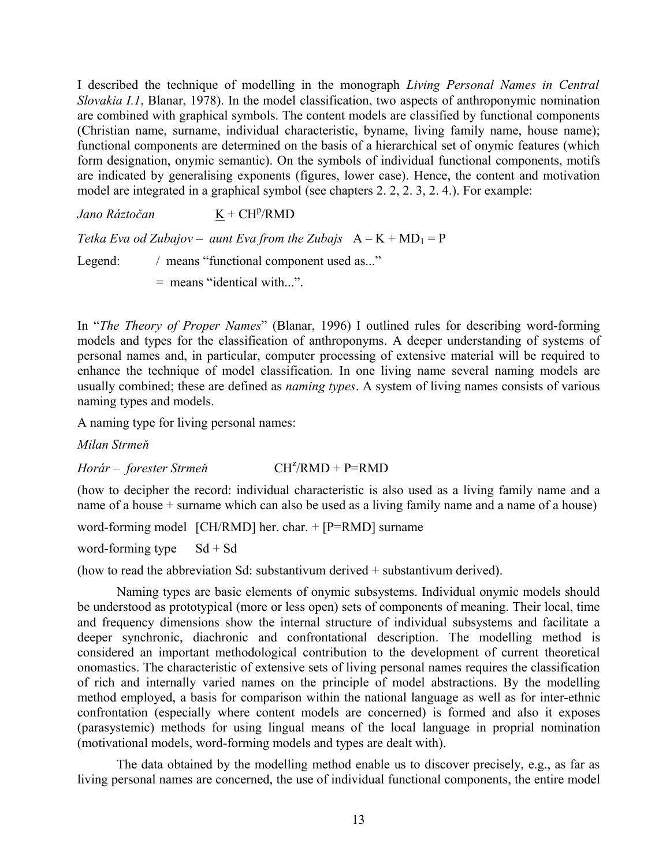I described the technique of modelling in the monograph *Living Personal Names in Central Slovakia I.1*, Blanar, 1978). In the model classification, two aspects of anthroponymic nomination are combined with graphical symbols. The content models are classified by functional components (Christian name, surname, individual characteristic, byname, living family name, house name); functional components are determined on the basis of a hierarchical set of onymic features (which form designation, onymic semantic). On the symbols of individual functional components, motifs are indicated by generalising exponents (figures, lower case). Hence, the content and motivation model are integrated in a graphical symbol (see chapters 2. 2, 2. 3, 2. 4.). For example:

*Jano Ráztočan*  $K + CH^p/RMD$ *Tetka Eva od Zubajov – aunt Eva from the Zubajs*  $A - K + MD_1 = P$ Legend: / means "functional component used as..."

= means "identical with...".

In "*The Theory of Proper Names*" (Blanar, 1996) I outlined rules for describing word-forming models and types for the classification of anthroponyms. A deeper understanding of systems of personal names and, in particular, computer processing of extensive material will be required to enhance the technique of model classification. In one living name several naming models are usually combined; these are defined as *naming types*. A system of living names consists of various naming types and models.

A naming type for living personal names:

*Milan Strmeň*

*Horár – forester Strmeň*  $CH^2$ /RMD + P=RMD

(how to decipher the record: individual characteristic is also used as a living family name and a name of a house + surname which can also be used as a living family name and a name of a house)

word-forming model [CH/RMD] her. char. + [P=RMD] surname

word-forming type  $Sd + Sd$ 

(how to read the abbreviation Sd: substantivum derived + substantivum derived).

Naming types are basic elements of onymic subsystems. Individual onymic models should be understood as prototypical (more or less open) sets of components of meaning. Their local, time and frequency dimensions show the internal structure of individual subsystems and facilitate a deeper synchronic, diachronic and confrontational description. The modelling method is considered an important methodological contribution to the development of current theoretical onomastics. The characteristic of extensive sets of living personal names requires the classification of rich and internally varied names on the principle of model abstractions. By the modelling method employed, a basis for comparison within the national language as well as for inter-ethnic confrontation (especially where content models are concerned) is formed and also it exposes (parasystemic) methods for using lingual means of the local language in proprial nomination (motivational models, word-forming models and types are dealt with).

The data obtained by the modelling method enable us to discover precisely, e.g., as far as living personal names are concerned, the use of individual functional components, the entire model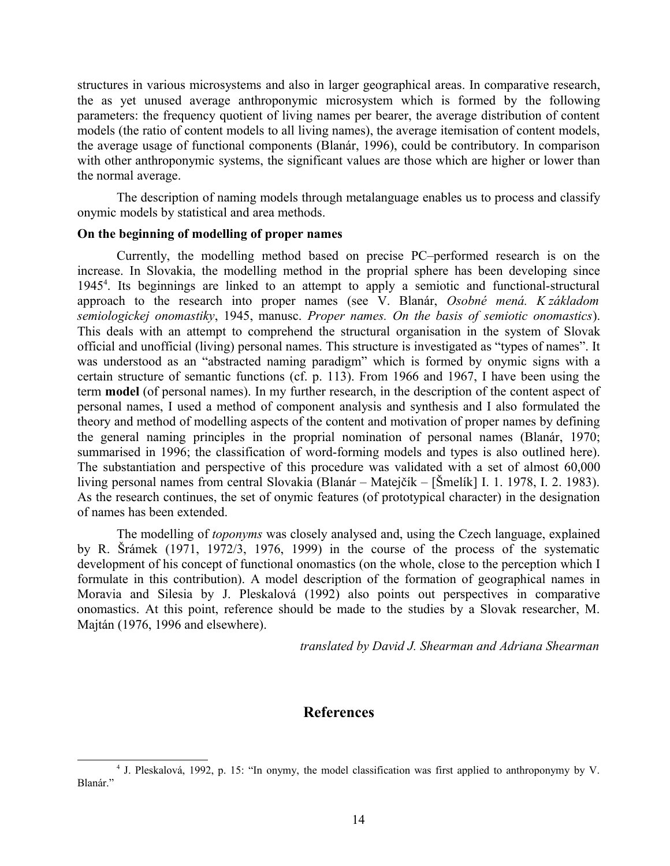structures in various microsystems and also in larger geographical areas. In comparative research, the as yet unused average anthroponymic microsystem which is formed by the following parameters: the frequency quotient of living names per bearer, the average distribution of content models (the ratio of content models to all living names), the average itemisation of content models, the average usage of functional components (Blanár, 1996), could be contributory. In comparison with other anthroponymic systems, the significant values are those which are higher or lower than the normal average.

The description of naming models through metalanguage enables us to process and classify onymic models by statistical and area methods.

#### **On the beginning of modelling of proper names**

Currently, the modelling method based on precise PC–performed research is on the increase. In Slovakia, the modelling method in the proprial sphere has been developing since 19[4](#page-13-0)5<sup>4</sup>. Its beginnings are linked to an attempt to apply a semiotic and functional-structural approach to the research into proper names (see V. Blanár, *Osobné mená. K základom semiologickej onomastiky*, 1945, manusc. *Proper names. On the basis of semiotic onomastics*). This deals with an attempt to comprehend the structural organisation in the system of Slovak official and unofficial (living) personal names. This structure is investigated as "types of names". It was understood as an "abstracted naming paradigm" which is formed by onymic signs with a certain structure of semantic functions (cf. p. 113). From 1966 and 1967, I have been using the term **model** (of personal names). In my further research, in the description of the content aspect of personal names, I used a method of component analysis and synthesis and I also formulated the theory and method of modelling aspects of the content and motivation of proper names by defining the general naming principles in the proprial nomination of personal names (Blanár, 1970; summarised in 1996; the classification of word-forming models and types is also outlined here). The substantiation and perspective of this procedure was validated with a set of almost 60,000 living personal names from central Slovakia (Blanár – Matejčík – [Šmelík] I. 1. 1978, I. 2. 1983). As the research continues, the set of onymic features (of prototypical character) in the designation of names has been extended.

The modelling of *toponyms* was closely analysed and, using the Czech language, explained by R. Šrámek (1971, 1972/3, 1976, 1999) in the course of the process of the systematic development of his concept of functional onomastics (on the whole, close to the perception which I formulate in this contribution). A model description of the formation of geographical names in Moravia and Silesia by J. Pleskalová (1992) also points out perspectives in comparative onomastics. At this point, reference should be made to the studies by a Slovak researcher, M. Majtán (1976, 1996 and elsewhere).

*translated by David J. Shearman and Adriana Shearman*

## **References**

<span id="page-13-0"></span><sup>4</sup> J. Pleskalová, 1992, p. 15: "In onymy, the model classification was first applied to anthroponymy by V. Blanár."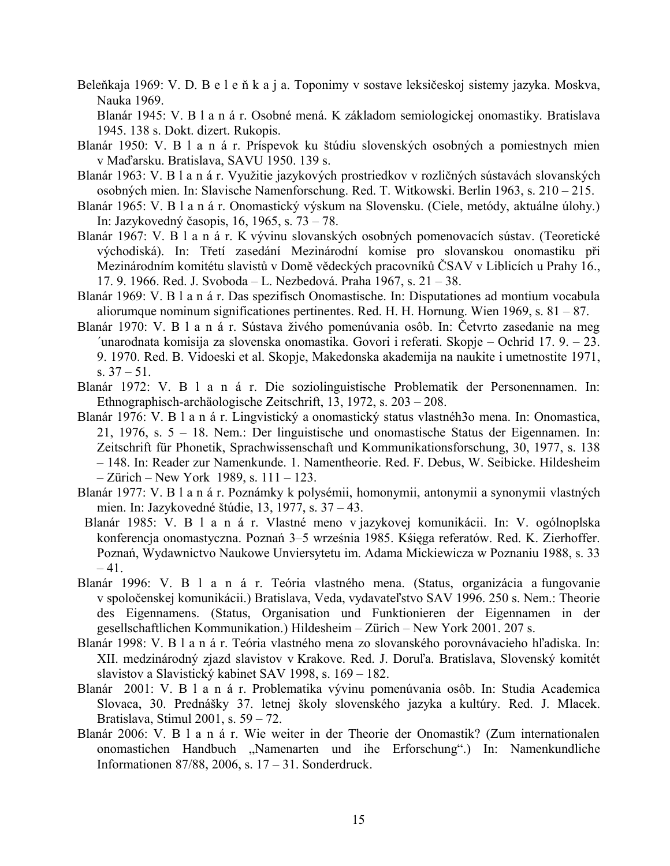Beleňkaja 1969: V. D. B e l e ň k a j a. Toponimy v sostave leksičeskoj sistemy jazyka. Moskva, Nauka 1969.

Blanár 1945: V. B l a n á r. Osobné mená. K základom semiologickej onomastiky. Bratislava 1945. 138 s. Dokt. dizert. Rukopis.

- Blanár 1950: V. B l a n á r. Príspevok ku štúdiu slovenských osobných a pomiestnych mien v Maďarsku. Bratislava, SAVU 1950. 139 s.
- Blanár 1963: V. B l a n á r. Využitie jazykových prostriedkov v rozličných sústavách slovanských osobných mien. In: Slavische Namenforschung. Red. T. Witkowski. Berlin 1963, s. 210 – 215.
- Blanár 1965: V. B l a n á r. Onomastický výskum na Slovensku. (Ciele, metódy, aktuálne úlohy.) In: Jazykovedný časopis, 16, 1965, s. 73 – 78.
- Blanár 1967: V. B l a n á r. K vývinu slovanských osobných pomenovacích sústav. (Teoretické východiská). In: Třetí zasedání Mezinárodní komise pro slovanskou onomastiku při Mezinárodním komitétu slavistů v Domě vědeckých pracovníků ČSAV v Liblicích u Prahy 16., 17. 9. 1966. Red. J. Svoboda – L. Nezbedová. Praha 1967, s. 21 – 38.
- Blanár 1969: V. B l a n á r. Das spezifisch Onomastische. In: Disputationes ad montium vocabula aliorumque nominum significationes pertinentes. Red. H. H. Hornung. Wien 1969, s.  $81 - 87$ .
- Blanár 1970: V. B l a n á r. Sústava živého pomenúvania osôb. In: Četvrto zasedanie na meg ´unarodnata komisija za slovenska onomastika. Govori i referati. Skopje – Ochrid 17. 9. – 23. 9. 1970. Red. B. Vidoeski et al. Skopje, Makedonska akademija na naukite i umetnostite 1971, s.  $37 - 51$ .
- Blanár 1972: V. B l a n á r. Die soziolinguistische Problematik der Personennamen. In: Ethnographisch-archäologische Zeitschrift, 13, 1972, s. 203 – 208.
- Blanár 1976: V. B l a n á r. Lingvistický a onomastický status vlastnéh3o mena. In: Onomastica, 21, 1976, s. 5 – 18. Nem.: Der linguistische und onomastische Status der Eigennamen. In: Zeitschrift für Phonetik, Sprachwissenschaft und Kommunikationsforschung, 30, 1977, s. 138 – 148. In: Reader zur Namenkunde. 1. Namentheorie. Red. F. Debus, W. Seibicke. Hildesheim – Zürich – New York 1989, s. 111 – 123.
- Blanár 1977: V. B l a n á r. Poznámky k polysémii, homonymii, antonymii a synonymii vlastných mien. In: Jazykovedné štúdie, 13, 1977, s. 37 – 43.
- Blanár 1985: V. B l a n á r. Vlastné meno v jazykovej komunikácii. In: V. ogólnoplska konferencja onomastyczna. Poznań 3–5 września 1985. Kśięga referatów. Red. K. Zierhoffer. Poznań, Wydawnictvo Naukowe Unviersytetu im. Adama Mickiewicza w Poznaniu 1988, s. 33  $-41$ .
- Blanár 1996: V. B l a n á r. Teória vlastného mena. (Status, organizácia a fungovanie v spoločenskej komunikácii.) Bratislava, Veda, vydavateľstvo SAV 1996. 250 s. Nem.: Theorie des Eigennamens. (Status, Organisation und Funktionieren der Eigennamen in der gesellschaftlichen Kommunikation.) Hildesheim – Zürich – New York 2001. 207 s.
- Blanár 1998: V. B l a n á r. Teória vlastného mena zo slovanského porovnávacieho hľadiska. In: XII. medzinárodný zjazd slavistov v Krakove. Red. J. Doruľa. Bratislava, Slovenský komitét slavistov a Slavistický kabinet SAV 1998, s. 169 – 182.
- Blanár 2001: V. B l a n á r. Problematika vývinu pomenúvania osôb. In: Studia Academica Slovaca, 30. Prednášky 37. letnej školy slovenského jazyka a kultúry. Red. J. Mlacek. Bratislava, Stimul 2001, s. 59 – 72.
- Blanár 2006: V. B l a n á r. Wie weiter in der Theorie der Onomastik? (Zum internationalen onomastichen Handbuch "Namenarten und ihe Erforschung".) In: Namenkundliche Informationen 87/88, 2006, s. 17 – 31. Sonderdruck.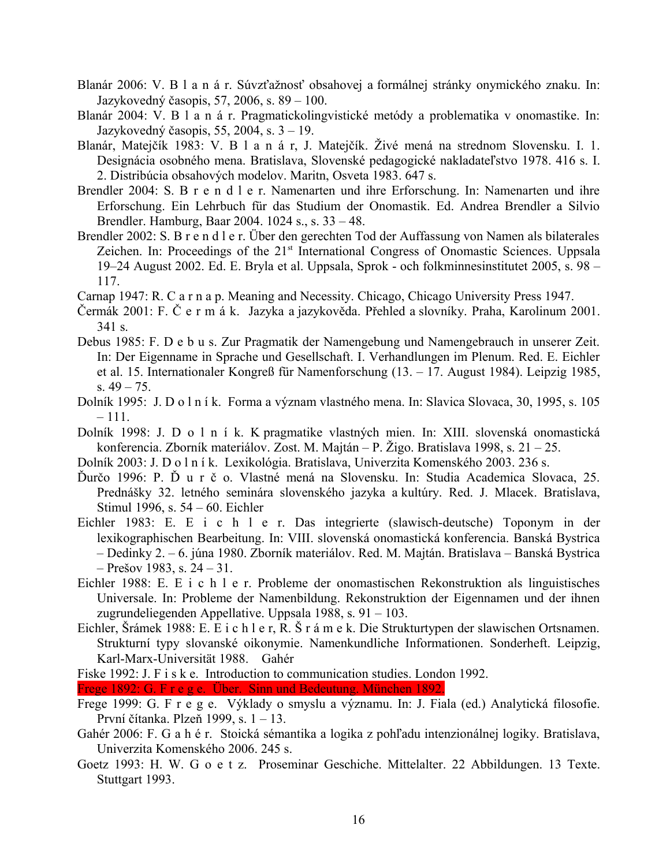- Blanár 2006: V. B l a n á r. Súvzťažnosť obsahovej a formálnej stránky onymického znaku. In: Jazykovedný časopis, 57, 2006, s. 89 – 100.
- Blanár 2004: V. B l a n á r. Pragmatickolingvistické metódy a problematika v onomastike. In: Jazykovedný časopis, 55, 2004, s. 3 – 19.
- Blanár, Matejčík 1983: V. B l a n á r, J. Matejčík. Živé mená na strednom Slovensku. I. 1. Designácia osobného mena. Bratislava, Slovenské pedagogické nakladateľstvo 1978. 416 s. I. 2. Distribúcia obsahových modelov. Maritn, Osveta 1983. 647 s.
- Brendler 2004: S. B r e n d l e r. Namenarten und ihre Erforschung. In: Namenarten und ihre Erforschung. Ein Lehrbuch für das Studium der Onomastik. Ed. Andrea Brendler a Silvio Brendler. Hamburg, Baar 2004. 1024 s., s. 33 – 48.
- Brendler 2002: S. B r e n d l e r. Über den gerechten Tod der Auffassung von Namen als bilaterales Zeichen. In: Proceedings of the 21<sup>st</sup> International Congress of Onomastic Sciences. Uppsala 19–24 August 2002. Ed. E. Bryla et al. Uppsala, Sprok - och folkminnesinstitutet 2005, s. 98 – 117.
- Carnap 1947: R. C a r n a p. Meaning and Necessity. Chicago, Chicago University Press 1947.
- Čermák 2001: F. Č e r m á k. Jazyka a jazykověda. Přehled a slovníky. Praha, Karolinum 2001. 341 s.
- Debus 1985: F. D e b u s. Zur Pragmatik der Namengebung und Namengebrauch in unserer Zeit. In: Der Eigenname in Sprache und Gesellschaft. I. Verhandlungen im Plenum. Red. E. Eichler et al. 15. Internationaler Kongreß für Namenforschung (13. – 17. August 1984). Leipzig 1985, s.  $49 - 75$ .
- Dolník 1995: J. D o l n í k. Forma a význam vlastného mena. In: Slavica Slovaca, 30, 1995, s. 105 – 111.
- Dolník 1998: J. D o l n í k. K pragmatike vlastných mien. In: XIII. slovenská onomastická konferencia. Zborník materiálov. Zost. M. Majtán – P. Žigo. Bratislava 1998, s. 21 – 25.
- Dolník 2003: J. D o l n í k. Lexikológia. Bratislava, Univerzita Komenského 2003. 236 s.
- Ďurčo 1996: P. Ď u r č o. Vlastné mená na Slovensku. In: Studia Academica Slovaca, 25. Prednášky 32. letného seminára slovenského jazyka a kultúry. Red. J. Mlacek. Bratislava, Stimul 1996, s. 54 – 60. Eichler
- Eichler 1983: E. E i c h l e r. Das integrierte (slawisch-deutsche) Toponym in der lexikographischen Bearbeitung. In: VIII. slovenská onomastická konferencia. Banská Bystrica – Dedinky 2. – 6. júna 1980. Zborník materiálov. Red. M. Majtán. Bratislava – Banská Bystrica – Prešov 1983, s. 24 – 31.
- Eichler 1988: E. E i c h l e r. Probleme der onomastischen Rekonstruktion als linguistisches Universale. In: Probleme der Namenbildung. Rekonstruktion der Eigennamen und der ihnen zugrundeliegenden Appellative. Uppsala 1988, s. 91 – 103.
- Eichler, Šrámek 1988: E. E i c h l e r, R. Š r á m e k. Die Strukturtypen der slawischen Ortsnamen. Strukturní typy slovanské oikonymie. Namenkundliche Informationen. Sonderheft. Leipzig, Karl-Marx-Universität 1988. Gahér

Fiske 1992: J. F i s k e. Introduction to communication studies. London 1992.

Frege 1892: G. F r e g e. Über. Sinn und Bedeutung. München 1892.

- Frege 1999: G. F r e g e. Výklady o smyslu a významu. In: J. Fiala (ed.) Analytická filosofie. První čítanka. Plzeň 1999, s. 1 – 13.
- Gahér 2006: F. G a h é r. Stoická sémantika a logika z pohľadu intenzionálnej logiky. Bratislava, Univerzita Komenského 2006. 245 s.
- Goetz 1993: H. W. G o e t z. Proseminar Geschiche. Mittelalter. 22 Abbildungen. 13 Texte. Stuttgart 1993.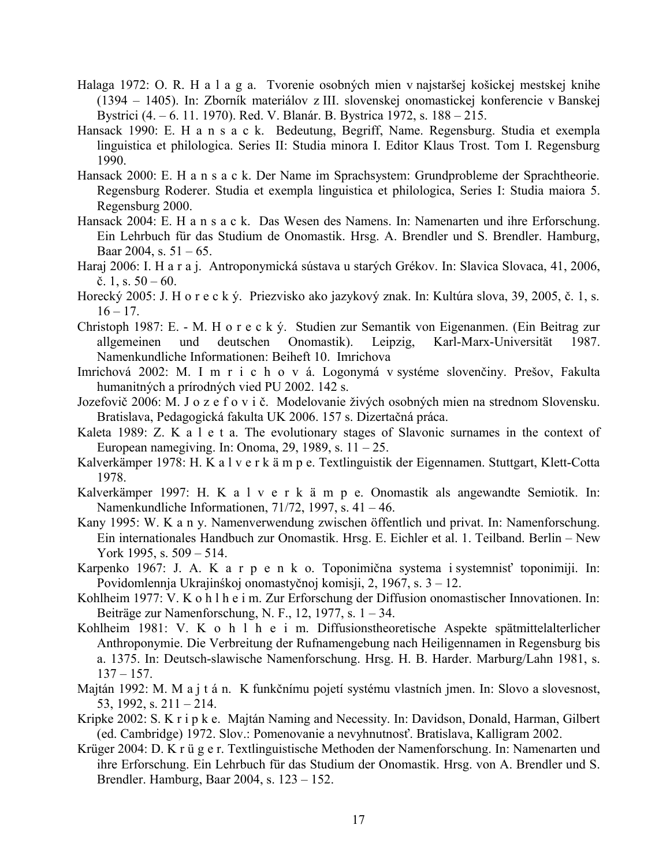- Halaga 1972: O. R. H a l a g a. Tvorenie osobných mien v najstaršej košickej mestskej knihe (1394 – 1405). In: Zborník materiálov z III. slovenskej onomastickej konferencie v Banskej Bystrici (4. – 6. 11. 1970). Red. V. Blanár. B. Bystrica 1972, s. 188 – 215.
- Hansack 1990: E. H a n s a c k. Bedeutung, Begriff, Name. Regensburg. Studia et exempla linguistica et philologica. Series II: Studia minora I. Editor Klaus Trost. Tom I. Regensburg 1990.
- Hansack 2000: E. H a n s a c k. Der Name im Sprachsystem: Grundprobleme der Sprachtheorie. Regensburg Roderer. Studia et exempla linguistica et philologica, Series I: Studia maiora 5. Regensburg 2000.
- Hansack 2004: E. H a n s a c k. Das Wesen des Namens. In: Namenarten und ihre Erforschung. Ein Lehrbuch für das Studium de Onomastik. Hrsg. A. Brendler und S. Brendler. Hamburg, Baar 2004, s.  $51 - 65$ .
- Haraj 2006: I. H a r a j. Antroponymická sústava u starých Grékov. In: Slavica Slovaca, 41, 2006, č. 1, s. 50 – 60.
- Horecký 2005: J. H o r e c k ý. Priezvisko ako jazykový znak. In: Kultúra slova, 39, 2005, č. 1, s.  $16 - 17$ .
- Christoph 1987: E. M. H o r e c k ý. Studien zur Semantik von Eigenanmen. (Ein Beitrag zur allgemeinen und deutschen Onomastik). Leipzig, Karl-Marx-Universität 1987. Namenkundliche Informationen: Beiheft 10. Imrichova
- Imrichová 2002: M. I m r i c h o v á. Logonymá v systéme slovenčiny. Prešov, Fakulta humanitných a prírodných vied PU 2002. 142 s.
- Jozefovič 2006: M. J o z e f o v i č. Modelovanie živých osobných mien na strednom Slovensku. Bratislava, Pedagogická fakulta UK 2006. 157 s. Dizertačná práca.
- Kaleta 1989: Z. K a l e t a. The evolutionary stages of Slavonic surnames in the context of European namegiving. In: Onoma, 29, 1989, s. 11 – 25.
- Kalverkämper 1978: H. K a l v e r k ä m p e. Textlinguistik der Eigennamen. Stuttgart, Klett-Cotta 1978.
- Kalverkämper 1997: H. K a l v e r k ä m p e. Onomastik als angewandte Semiotik. In: Namenkundliche Informationen, 71/72, 1997, s. 41 – 46.
- Kany 1995: W. K a n y. Namenverwendung zwischen öffentlich und privat. In: Namenforschung. Ein internationales Handbuch zur Onomastik. Hrsg. E. Eichler et al. 1. Teilband. Berlin – New York 1995, s. 509 – 514.
- Karpenko 1967: J. A. K a r p e n k o. Toponimična systema i systemnisť toponimiji. In: Povidomlennja Ukrajinśkoj onomastyčnoj komisji, 2, 1967, s. 3 – 12.
- Kohlheim 1977: V. K o h l h e i m. Zur Erforschung der Diffusion onomastischer Innovationen. In: Beiträge zur Namenforschung, N. F., 12, 1977, s. 1 – 34.
- Kohlheim 1981: V. K o h l h e i m. Diffusionstheoretische Aspekte spätmittelalterlicher Anthroponymie. Die Verbreitung der Rufnamengebung nach Heiligennamen in Regensburg bis a. 1375. In: Deutsch-slawische Namenforschung. Hrsg. H. B. Harder. Marburg/Lahn 1981, s.  $137 - 157$ .
- Majtán 1992: M. M a j t á n. K funkčnímu pojetí systému vlastních jmen. In: Slovo a slovesnost, 53, 1992, s. 211 – 214.
- Kripke 2002: S. K r i p k e. Majtán Naming and Necessity. In: Davidson, Donald, Harman, Gilbert (ed. Cambridge) 1972. Slov.: Pomenovanie a nevyhnutnosť. Bratislava, Kalligram 2002.
- Krüger 2004: D. K r ü g e r. Textlinguistische Methoden der Namenforschung. In: Namenarten und ihre Erforschung. Ein Lehrbuch für das Studium der Onomastik. Hrsg. von A. Brendler und S. Brendler. Hamburg, Baar 2004, s. 123 – 152.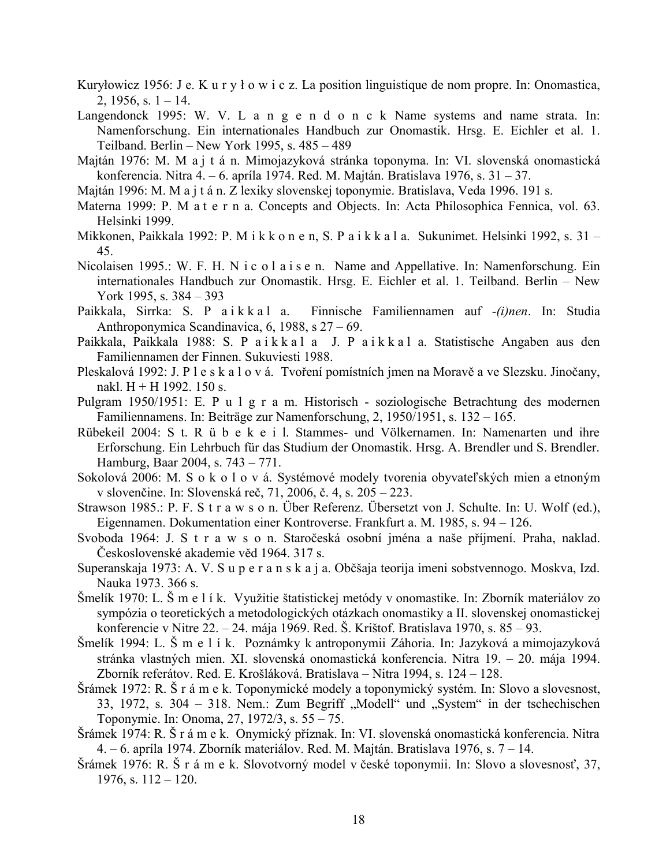- Kuryłowicz 1956: J e. K u r y ł o w i c z. La position linguistique de nom propre. In: Onomastica, 2, 1956, s.  $1 - 14$ .
- Langendonck 1995: W. V. L a n g e n d o n c k Name systems and name strata. In: Namenforschung. Ein internationales Handbuch zur Onomastik. Hrsg. E. Eichler et al. 1. Teilband. Berlin – New York 1995, s. 485 – 489
- Majtán 1976: M. M a j t á n. Mimojazyková stránka toponyma. In: VI. slovenská onomastická konferencia. Nitra 4. – 6. apríla 1974. Red. M. Majtán. Bratislava 1976, s. 31 – 37.
- Majtán 1996: M. M a j t á n. Z lexiky slovenskej toponymie. Bratislava, Veda 1996. 191 s.
- Materna 1999: P. M a t e r n a. Concepts and Objects. In: Acta Philosophica Fennica, vol. 63. Helsinki 1999.
- Mikkonen, Paikkala 1992: P. M i k k o n e n, S. P a i k k a l a. Sukunimet. Helsinki 1992, s. 31 45.
- Nicolaisen 1995.: W. F. H. N i c o l a i s e n. Name and Appellative. In: Namenforschung. Ein internationales Handbuch zur Onomastik. Hrsg. E. Eichler et al. 1. Teilband. Berlin – New York 1995, s. 384 – 393
- Paikkala, Sirrka: S. P a i k k a l a. Finnische Familiennamen auf -*(i)nen*. In: Studia Anthroponymica Scandinavica, 6, 1988, s 27 – 69.
- Paikkala, Paikkala 1988: S. P a i k k a l a J. P a i k k a l a. Statistische Angaben aus den Familiennamen der Finnen. Sukuviesti 1988.
- Pleskalová 1992: J. P l e s k a l o v á. Tvoření pomístních jmen na Moravě a ve Slezsku. Jinočany, nakl.  $H + H$  1992. 150 s.
- Pulgram 1950/1951: E. P u l g r a m. Historisch soziologische Betrachtung des modernen Familiennamens. In: Beiträge zur Namenforschung, 2, 1950/1951, s. 132 – 165.
- Rübekeil 2004: S t. R ü b e k e i l. Stammes- und Völkernamen. In: Namenarten und ihre Erforschung. Ein Lehrbuch für das Studium der Onomastik. Hrsg. A. Brendler und S. Brendler. Hamburg, Baar 2004, s. 743 – 771.
- Sokolová 2006: M. S o k o l o v á. Systémové modely tvorenia obyvateľských mien a etnoným v slovenčine. In: Slovenská reč, 71, 2006, č. 4, s. 205 – 223.
- Strawson 1985.: P. F. S t r a w s o n. Über Referenz. Übersetzt von J. Schulte. In: U. Wolf (ed.), Eigennamen. Dokumentation einer Kontroverse. Frankfurt a. M. 1985, s. 94 – 126.
- Svoboda 1964: J. S t r a w s o n. Staročeská osobní jména a naše příjmení. Praha, naklad. Československé akademie věd 1964. 317 s.
- Superanskaja 1973: A. V. S u p e r a n s k a j a. Občšaja teorija imeni sobstvennogo. Moskva, Izd. Nauka 1973. 366 s.
- Šmelík 1970: L. Š m e l í k. Využitie štatistickej metódy v onomastike. In: Zborník materiálov zo sympózia o teoretických a metodologických otázkach onomastiky a II. slovenskej onomastickej konferencie v Nitre 22. – 24. mája 1969. Red. Š. Krištof. Bratislava 1970, s. 85 – 93.
- Šmelík 1994: L. Š m e l í k. Poznámky k antroponymii Záhoria. In: Jazyková a mimojazyková stránka vlastných mien. XI. slovenská onomastická konferencia. Nitra 19. – 20. mája 1994. Zborník referátov. Red. E. Krošláková. Bratislava – Nitra 1994, s. 124 – 128.
- Šrámek 1972: R. Š r á m e k. Toponymické modely a toponymický systém. In: Slovo a slovesnost, 33, 1972, s. 304 – 318. Nem.: Zum Begriff "Modell" und "System" in der tschechischen Toponymie. In: Onoma, 27, 1972/3, s. 55 – 75.
- Šrámek 1974: R. Š r á m e k. Onymický příznak. In: VI. slovenská onomastická konferencia. Nitra 4. – 6. apríla 1974. Zborník materiálov. Red. M. Majtán. Bratislava 1976, s. 7 – 14.
- Šrámek 1976: R. Š r á m e k. Slovotvorný model v české toponymii. In: Slovo a slovesnosť, 37, 1976, s.  $112 - 120$ .